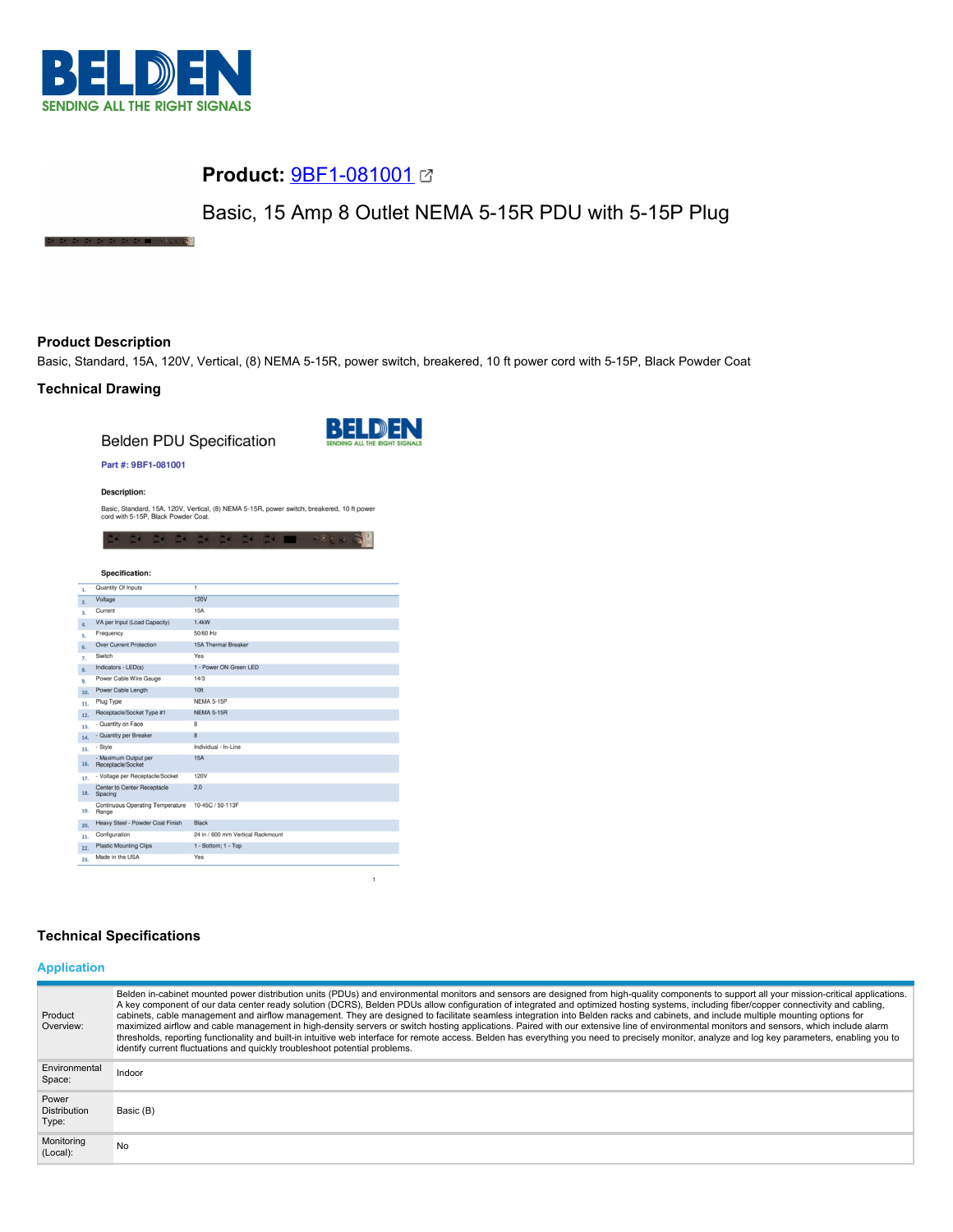

**STATE CALLS IN AN ADAM** 

# **Product:** [9BF1-081001](https://catalog.belden.com/index.cfm?event=pd&p=PF_9BF1081001&tab=downloads)

Basic, 15 Amp 8 Outlet NEMA 5-15R PDU with 5-15P Plug

# **Product Description**

Basic, Standard, 15A, 120V, Vertical, (8) NEMA 5-15R, power switch, breakered, 10 ft power cord with 5-15P, Black Powder Coat

# **Technical Drawing**

**Belden PDU Specification** 

玉閣



 $\overline{1}$ 

### Part #: 9BF1-081001

**Description:** 

Basic, Standard, 15A, 120V, Vertical, (8) NEMA 5-15R, power switch, breakered, 10 ft power cord with 5-15P, Black Powder Coat.

DISPOSITION OF DISPOSITION

| <b>Specification:</b>                                |                                   |
|------------------------------------------------------|-----------------------------------|
| Quantity Of Inputs                                   | $\overline{1}$                    |
| Voltage                                              | <b>120V</b>                       |
| Current                                              | <b>15A</b>                        |
| VA per Input (Load Capacity)                         | 1.4kW                             |
| Frequency                                            | 50/60 Hz                          |
| <b>Over Current Protection</b>                       | 15A Thermal Breaker               |
| Switch                                               | Yes                               |
| Indicators - LED(s)                                  | 1 - Power ON Green LED            |
| Power Cable Wire Gauge                               | 14/3                              |
| Power Cable Length<br>10.                            | 10 <sub>ft</sub>                  |
| Plug Type<br>11.                                     | <b>NEMA 5-15P</b>                 |
| Receptacle/Socket Type #1<br>12.                     | <b>NEMA 5-15R</b>                 |
| - Quantity on Face<br>13.                            | 8                                 |
| - Quantity per Breaker<br>14.                        | 8                                 |
| - Style<br>15.                                       | Individual - In-Line              |
| - Maximum Output per<br>16.<br>Receptacle/Socket     | 15A                               |
| - Voltage per Receptacle/Socket<br>17.               | 120V                              |
| <b>Center to Center Receptacle</b><br>18.<br>Spacing | 2.0                               |
| Continuous Operating Temperature<br>19.<br>Range     | 10-45C / 50-113F                  |
| Heavy Steel - Powder Coat Finish<br>20.              | <b>Black</b>                      |
| Configuration<br>21.                                 | 24 in / 600 mm Vertical Rackmount |
| <b>Plastic Mounting Clips</b><br>22.                 | 1 - Bottom; 1 - Top               |
| Made in the USA<br>23.                               | Yes                               |

## **Technical Specifications**

# **Application**

| Product<br>Overview:                  | Belden in-cabinet mounted power distribution units (PDUs) and environmental monitors and sensors are designed from high-quality components to support all your mission-critical applications.<br>A key component of our data center ready solution (DCRS), Belden PDUs allow configuration of integrated and optimized hosting systems, including fiber/copper connectivity and cabling,<br>cabinets, cable management and airflow management. They are designed to facilitate seamless integration into Belden racks and cabinets, and include multiple mounting options for<br>maximized airflow and cable management in high-density servers or switch hosting applications. Paired with our extensive line of environmental monitors and sensors, which include alarm<br>thresholds, reporting functionality and built-in intuitive web interface for remote access. Belden has everything you need to precisely monitor, analyze and log key parameters, enabling you to<br>identify current fluctuations and quickly troubleshoot potential problems. |
|---------------------------------------|-------------------------------------------------------------------------------------------------------------------------------------------------------------------------------------------------------------------------------------------------------------------------------------------------------------------------------------------------------------------------------------------------------------------------------------------------------------------------------------------------------------------------------------------------------------------------------------------------------------------------------------------------------------------------------------------------------------------------------------------------------------------------------------------------------------------------------------------------------------------------------------------------------------------------------------------------------------------------------------------------------------------------------------------------------------|
| Environmental<br>Space:               | Indoor                                                                                                                                                                                                                                                                                                                                                                                                                                                                                                                                                                                                                                                                                                                                                                                                                                                                                                                                                                                                                                                      |
| Power<br><b>Distribution</b><br>Type: | Basic (B)                                                                                                                                                                                                                                                                                                                                                                                                                                                                                                                                                                                                                                                                                                                                                                                                                                                                                                                                                                                                                                                   |
| Monitoring<br>(Local):                | No.                                                                                                                                                                                                                                                                                                                                                                                                                                                                                                                                                                                                                                                                                                                                                                                                                                                                                                                                                                                                                                                         |